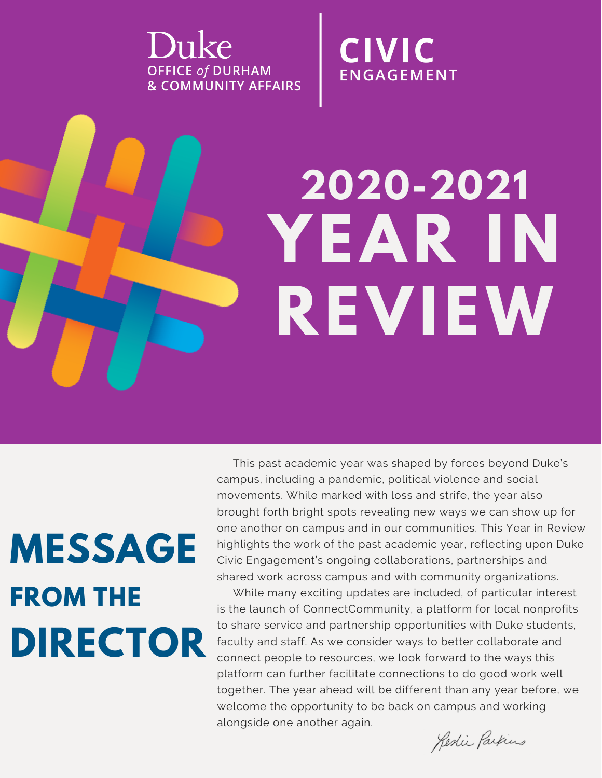Duke **OFFICE of DURHAM & COMMUNITY AFFAIRS**  **CIVIC ENGAGEMENT** 

# **YEAR IN REVIEW 2020-2021**

## **MESSAGE FROM THE DIRECTOR**

This past academic year was shaped by forces beyond Duke's campus, including a pandemic, political violence and social movements. While marked with loss and strife, the year also brought forth bright spots revealing new ways we can show up for one another on campus and in our communities. This Year in Review highlights the work of the past academic year, reflecting upon Duke Civic Engagement's ongoing collaborations, partnerships and shared work across campus and with community organizations.

While many exciting updates are included, of particular interest is the launch of ConnectCommunity, a platform for local nonprofits to share service and partnership opportunities with Duke students, faculty and staff. As we consider ways to better collaborate and connect people to resources, we look forward to the ways this platform can further facilitate connections to do good work well together. The year ahead will be different than any year before, we welcome the opportunity to be back on campus and working alongside one another again.

Redie Parkins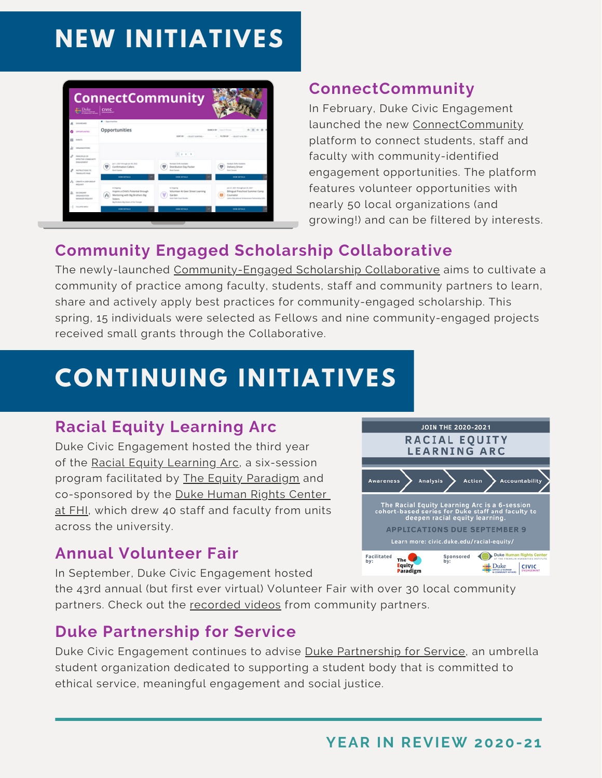### **NEW INITIATIVES**



### **ConnectCommunity**

In February, Duke Civic Engagement launched the new [ConnectCommunity](https://connect.community.duke.edu/) platform to connect students, staff and faculty with community-identified engagement opportunities. The platform features volunteer opportunities with nearly 50 local organizations (and growing!) and can be filtered by interests.

### **Community Engaged Scholarship Collaborative**

The newly-launched [Community-Engaged](https://community.duke.edu/learning/engaged-scholarship-collaborative/) Scholarship Collaborative aims to cultivate a community of practice among faculty, students, staff and community partners to learn, share and actively apply best practices for community-engaged scholarship. This spring, 15 individuals were selected as Fellows and nine community-engaged projects received small grants through the Collaborative.

### **CONTINUING INITIATIVES**

### **Racial Equity Learning Arc**

Duke Civic Engagement hosted the third year of the Racial Equity [Learning](https://community.duke.edu/learning/racial-equity-learning-arc/) Arc, a six-session program facilitated by The Equity [Paradigm](http://www.theequityparadigm.com/) and co-sponsored by the Duke [Human](https://humanrights.fhi.duke.edu/) Rights Center at [FHI,](https://humanrights.fhi.duke.edu/) which drew 40 staff and faculty from units across the university.



### **Annual Volunteer Fair**

In September, Duke Civic Engagement hosted

the 43rd annual (but first ever virtual) Volunteer Fair with over 30 local community partners. Check out the [recorded](https://youtube.com/playlist?list=PLsvvMKkmL-HWH8FAzVUYCmkIwfKMQnc2X) videos from community partners.

### **Duke Partnership for Service**

Duke Civic Engagement continues to advise Duke [Partnership](https://sites.duke.edu/dukepartnershipforservice/) for Service, an umbrella student organization dedicated to supporting a student body that is committed to ethical service, meaningful engagement and social justice.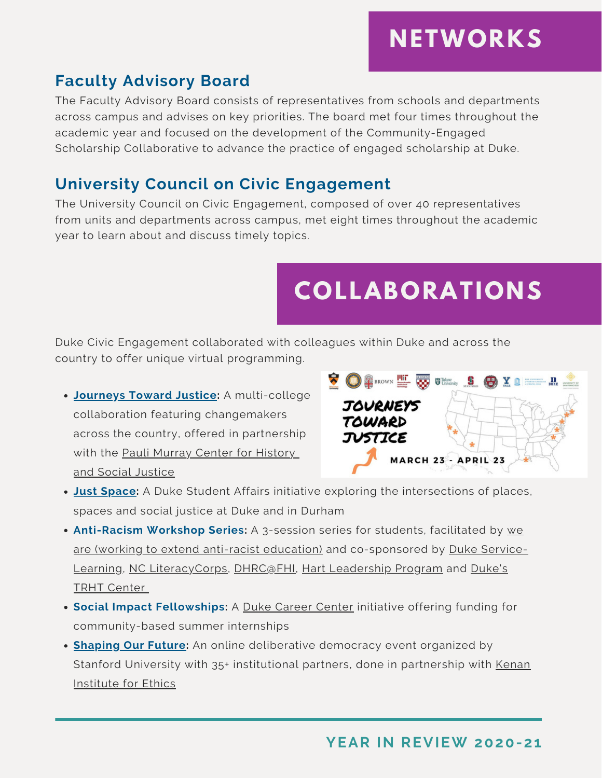### **NETWORKS**

### **Faculty Advisory Board**

The Faculty Advisory Board consists of representatives from schools and departments across campus and advises on key priorities. The board met four times throughout the academic year and focused on the development of the Community-Engaged Scholarship Collaborative to advance the practice of engaged scholarship at Duke.

### **University Council on Civic Engagement**

The University Council on Civic Engagement, composed of over 40 representatives from units and departments across campus, met eight times throughout the academic year to learn about and discuss timely topics.

### **COLLABORATIONS**

Duke Civic Engagement collaborated with colleagues within Duke and across the country to offer unique virtual programming.

**[Journeys](https://engage.richmond.edu/events/journeystowardjustice.html) Toward Justice:** A multi-college collaboration featuring changemakers across the country, offered in partnership with the Pauli Murray Center for [History](https://www.paulimurraycenter.com/) and Social [Justice](https://www.paulimurraycenter.com/)



- **Just [Space:](https://sites.duke.edu/justspace/)** A Duke Student Affairs initiative exploring the intersections of places, spaces and social justice at Duke and in Durham
- **Anti-Racism Workshop Series:** A 3-session series for students, facilitated by we are (working to extend anti-racist education) and [co-sponsored](https://www.weare-nc.org/) by Duke Service-Learning, NC [LiteracyCorps,](https://servicelearning.duke.edu/) [DHRC@FHI,](https://humanrights.fhi.duke.edu/) Hart [Leadership](https://hart.sanford.duke.edu/) Program and Duke's TRHT Center
- **Social Impact Fellowships:** A Duke Career [Center](https://studentaffairs.duke.edu/career) initiative offering funding for community-based summer internships
- **[Shaping](https://haas.stanford.edu/news/shaping-our-future-deliberative-polling-event-may-1-2) Our Future:** An online deliberative democracy event organized by Stanford University with 35+ [institutional](https://kenan.ethics.duke.edu/) partners, done in partnership with Kenan Institute for Ethics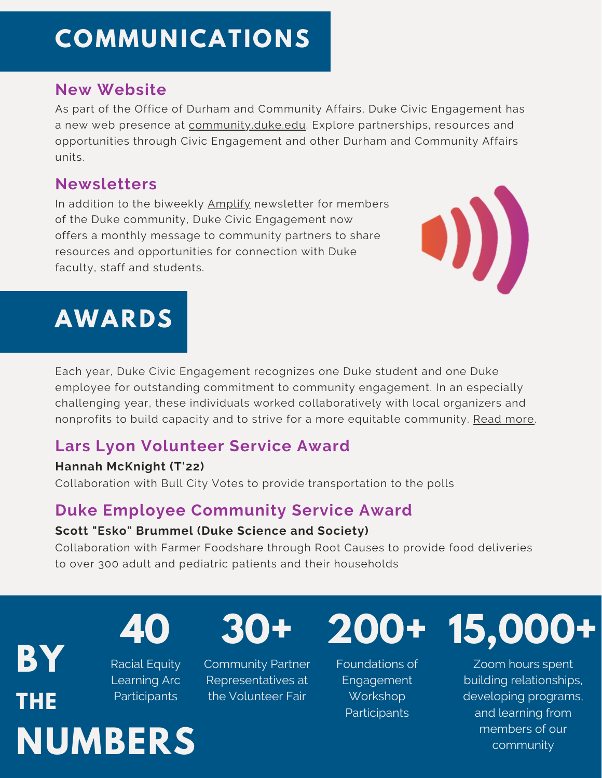### **COMMUNICATIONS**

#### **New Website**

As part of the Office of Durham and Community Affairs, Duke Civic Engagement has a new web presence at [community.duke.edu.](https://community.duke.edu/civic-engagement/) Explore partnerships, resources and opportunities through Civic Engagement and other Durham and Community Affairs units.

#### **Newsletters**

In addition to the biweekly **[Amplify](https://signup.e2ma.net/signup/1928559/1920853/)** newsletter for members of the Duke community, Duke Civic Engagement now offers a monthly message to community partners to share resources and opportunities for connection with Duke faculty, staff and students.



### **AWARDS**

Each year, Duke Civic Engagement recognizes one Duke student and one Duke employee for outstanding commitment to community engagement. In an especially challenging year, these individuals worked collaboratively with local organizers and nonprofits to build capacity and to strive for a more equitable community. Read [more.](https://community.duke.edu/impact-story/2021-community-engagement-awards/)

### **Lars Lyon Volunteer Service Award**

#### **Hannah McKnight (T'22)**

Collaboration with Bull City Votes to provide transportation to the polls

### **Duke Employee Community Service Award**

#### **Scott "Esko" Brummel (Duke Science and Society)**

Collaboration with Farmer Foodshare through Root Causes to provide food deliveries to over 300 adult and pediatric patients and their households

**BY THE NUMBERS** Racial Equity Learning Arc Participants



Community Partner Representatives at the Volunteer Fair



Foundations of **Engagement** Workshop **Participants** 



Zoom hours spent building relationships, developing programs, and learning from members of our community